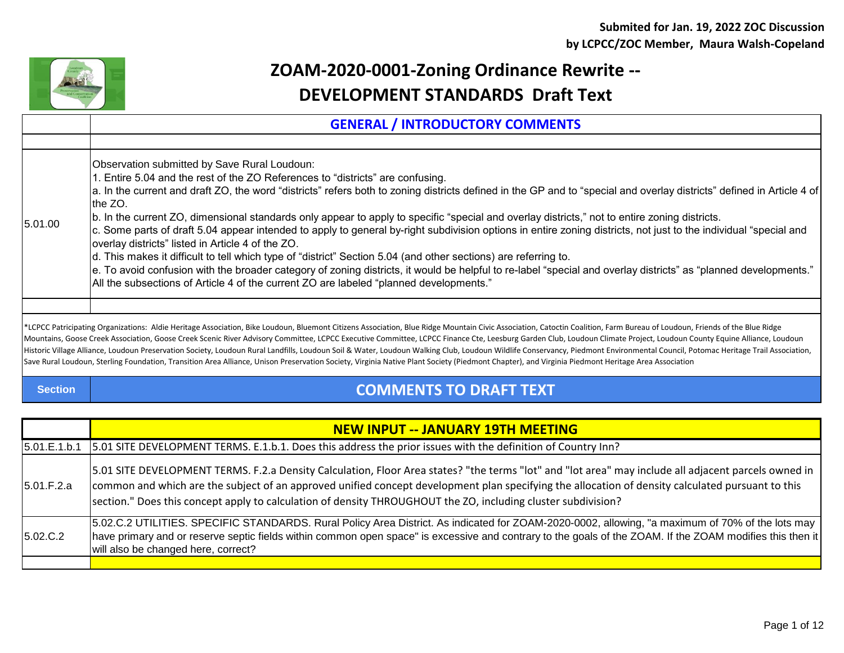

## **ZOAM-2020-0001-Zoning Ordinance Rewrite -- DEVELOPMENT STANDARDS Draft Text**

|                | <b>GENERAL / INTRODUCTORY COMMENTS</b>                                                                                                                                                                                                                                                                                                                                                                                                                                                                                                                                                                                                                                                                                                                                                                                                                                                                                                                                                                                                                                        |
|----------------|-------------------------------------------------------------------------------------------------------------------------------------------------------------------------------------------------------------------------------------------------------------------------------------------------------------------------------------------------------------------------------------------------------------------------------------------------------------------------------------------------------------------------------------------------------------------------------------------------------------------------------------------------------------------------------------------------------------------------------------------------------------------------------------------------------------------------------------------------------------------------------------------------------------------------------------------------------------------------------------------------------------------------------------------------------------------------------|
|                |                                                                                                                                                                                                                                                                                                                                                                                                                                                                                                                                                                                                                                                                                                                                                                                                                                                                                                                                                                                                                                                                               |
| 5.01.00        | Observation submitted by Save Rural Loudoun:<br>. Entire 5.04 and the rest of the ZO References to "districts" are confusing.<br>a. In the current and draft ZO, the word "districts" refers both to zoning districts defined in the GP and to "special and overlay districts" defined in Article 4 of<br>the ZO.<br>(b. In the current ZO, dimensional standards only appear to apply to specific "special and overlay districts," not to entire zoning districts.<br>c. Some parts of draft 5.04 appear intended to apply to general by-right subdivision options in entire zoning districts, not just to the individual "special and<br>overlay districts" listed in Article 4 of the ZO.<br>d. This makes it difficult to tell which type of "district" Section 5.04 (and other sections) are referring to.<br> e. To avoid confusion with the broader category of zoning districts, it would be helpful to re-label "special and overlay districts" as "planned developments."<br>All the subsections of Article 4 of the current ZO are labeled "planned developments." |
|                |                                                                                                                                                                                                                                                                                                                                                                                                                                                                                                                                                                                                                                                                                                                                                                                                                                                                                                                                                                                                                                                                               |
|                | *LCPCC Patricipating Organizations: Aldie Heritage Association, Bike Loudoun, Bluemont Citizens Association, Blue Ridge Mountain Civic Association, Catoctin Coalition, Farm Bureau of Loudoun, Friends of the Blue Ridge<br>Mountains, Goose Creek Association, Goose Creek Scenic River Advisory Committee, LCPCC Executive Committee, LCPCC Finance Cte, Leesburg Garden Club, Loudoun Climate Project, Loudoun County Equine Alliance, Loudoun<br>Historic Village Alliance, Loudoun Preservation Society, Loudoun Rural Landfills, Loudoun Soil & Water, Loudoun Walking Club, Loudoun Wildlife Conservancy, Piedmont Environmental Council, Potomac Heritage Trail Association<br>Save Rural Loudoun, Sterling Foundation, Transition Area Alliance, Unison Preservation Society, Virginia Native Plant Society (Piedmont Chapter), and Virginia Piedmont Heritage Area Association                                                                                                                                                                                     |
| <b>Section</b> | <b>COMMENTS TO DRAFT TEXT</b>                                                                                                                                                                                                                                                                                                                                                                                                                                                                                                                                                                                                                                                                                                                                                                                                                                                                                                                                                                                                                                                 |

|              | <b>NEW INPUT -- JANUARY 19TH MEETING</b>                                                                                                                                                                                                                                                                                                                                                                                   |
|--------------|----------------------------------------------------------------------------------------------------------------------------------------------------------------------------------------------------------------------------------------------------------------------------------------------------------------------------------------------------------------------------------------------------------------------------|
| 5.01.E.1.b.1 | 5.01 SITE DEVELOPMENT TERMS. E.1.b.1. Does this address the prior issues with the definition of Country Inn?                                                                                                                                                                                                                                                                                                               |
| 5.01.F.2.a   | 5.01 SITE DEVELOPMENT TERMS. F.2.a Density Calculation, Floor Area states? "the terms "lot" and "lot area" may include all adjacent parcels owned in<br>common and which are the subject of an approved unified concept development plan specifying the allocation of density calculated pursuant to this<br>section." Does this concept apply to calculation of density THROUGHOUT the ZO, including cluster subdivision? |
| 5.02.C.2     | 5.02.C.2 UTILITIES. SPECIFIC STANDARDS. Rural Policy Area District. As indicated for ZOAM-2020-0002, allowing, "a maximum of 70% of the lots may<br>have primary and or reserve septic fields within common open space" is excessive and contrary to the goals of the ZOAM. If the ZOAM modifies this then it<br>will also be changed here, correct?                                                                       |
|              |                                                                                                                                                                                                                                                                                                                                                                                                                            |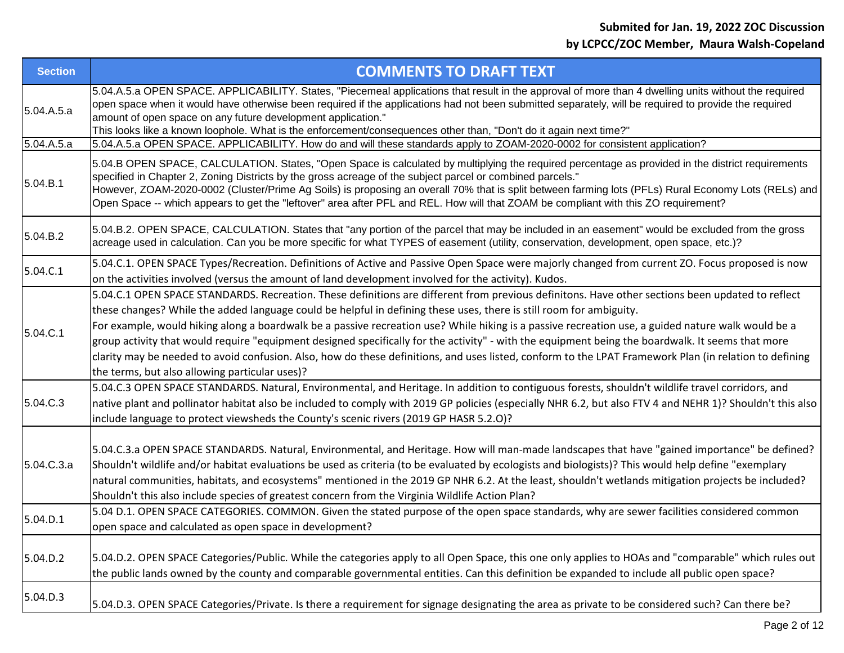| <b>Section</b> | <b>COMMENTS TO DRAFT TEXT</b>                                                                                                                                                                                                                                                                                                                                                                                                                                                                                                                                                                                                                                                                                                                                                                  |
|----------------|------------------------------------------------------------------------------------------------------------------------------------------------------------------------------------------------------------------------------------------------------------------------------------------------------------------------------------------------------------------------------------------------------------------------------------------------------------------------------------------------------------------------------------------------------------------------------------------------------------------------------------------------------------------------------------------------------------------------------------------------------------------------------------------------|
| 5.04.A.5.a     | 5.04.A.5.a OPEN SPACE. APPLICABILITY. States, "Piecemeal applications that result in the approval of more than 4 dwelling units without the required<br>open space when it would have otherwise been required if the applications had not been submitted separately, will be required to provide the required<br>amount of open space on any future development application."<br>This looks like a known loophole. What is the enforcement/consequences other than, "Don't do it again next time?"                                                                                                                                                                                                                                                                                             |
| 5.04.A.5.a     | 5.04.A.5.a OPEN SPACE. APPLICABILITY. How do and will these standards apply to ZOAM-2020-0002 for consistent application?                                                                                                                                                                                                                                                                                                                                                                                                                                                                                                                                                                                                                                                                      |
| 5.04.B.1       | 5.04.B OPEN SPACE, CALCULATION. States, "Open Space is calculated by multiplying the required percentage as provided in the district requirements<br>specified in Chapter 2, Zoning Districts by the gross acreage of the subject parcel or combined parcels."<br>However, ZOAM-2020-0002 (Cluster/Prime Ag Soils) is proposing an overall 70% that is split between farming lots (PFLs) Rural Economy Lots (RELs) and<br>Open Space -- which appears to get the "leftover" area after PFL and REL. How will that ZOAM be compliant with this ZO requirement?                                                                                                                                                                                                                                  |
| 5.04.B.2       | 5.04.B.2. OPEN SPACE, CALCULATION. States that "any portion of the parcel that may be included in an easement" would be excluded from the gross<br>acreage used in calculation. Can you be more specific for what TYPES of easement (utility, conservation, development, open space, etc.)?                                                                                                                                                                                                                                                                                                                                                                                                                                                                                                    |
| 5.04.C.1       | 5.04.C.1. OPEN SPACE Types/Recreation. Definitions of Active and Passive Open Space were majorly changed from current ZO. Focus proposed is now<br>on the activities involved (versus the amount of land development involved for the activity). Kudos.                                                                                                                                                                                                                                                                                                                                                                                                                                                                                                                                        |
| 5.04.C.1       | 5.04.C.1 OPEN SPACE STANDARDS. Recreation. These definitions are different from previous definitons. Have other sections been updated to reflect<br>these changes? While the added language could be helpful in defining these uses, there is still room for ambiguity.<br>For example, would hiking along a boardwalk be a passive recreation use? While hiking is a passive recreation use, a guided nature walk would be a<br>group activity that would require "equipment designed specifically for the activity" - with the equipment being the boardwalk. It seems that more<br>clarity may be needed to avoid confusion. Also, how do these definitions, and uses listed, conform to the LPAT Framework Plan (in relation to defining<br>the terms, but also allowing particular uses)? |
| 5.04.C.3       | 5.04.C.3 OPEN SPACE STANDARDS. Natural, Environmental, and Heritage. In addition to contiguous forests, shouldn't wildlife travel corridors, and<br>native plant and pollinator habitat also be included to comply with 2019 GP policies (especially NHR 6.2, but also FTV 4 and NEHR 1)? Shouldn't this also<br>include language to protect viewsheds the County's scenic rivers (2019 GP HASR 5.2.0)?                                                                                                                                                                                                                                                                                                                                                                                        |
| 5.04.C.3.a     | 5.04.C.3.a OPEN SPACE STANDARDS. Natural, Environmental, and Heritage. How will man-made landscapes that have "gained importance" be defined?<br>Shouldn't wildlife and/or habitat evaluations be used as criteria (to be evaluated by ecologists and biologists)? This would help define "exemplary<br>natural communities, habitats, and ecosystems" mentioned in the 2019 GP NHR 6.2. At the least, shouldn't wetlands mitigation projects be included?<br>Shouldn't this also include species of greatest concern from the Virginia Wildlife Action Plan?                                                                                                                                                                                                                                  |
| 5.04.D.1       | 5.04 D.1. OPEN SPACE CATEGORIES. COMMON. Given the stated purpose of the open space standards, why are sewer facilities considered common<br>open space and calculated as open space in development?                                                                                                                                                                                                                                                                                                                                                                                                                                                                                                                                                                                           |
| 5.04.D.2       | 5.04.D.2. OPEN SPACE Categories/Public. While the categories apply to all Open Space, this one only applies to HOAs and "comparable" which rules out<br>the public lands owned by the county and comparable governmental entities. Can this definition be expanded to include all public open space?                                                                                                                                                                                                                                                                                                                                                                                                                                                                                           |
| 5.04.D.3       | 5.04.D.3. OPEN SPACE Categories/Private. Is there a requirement for signage designating the area as private to be considered such? Can there be?                                                                                                                                                                                                                                                                                                                                                                                                                                                                                                                                                                                                                                               |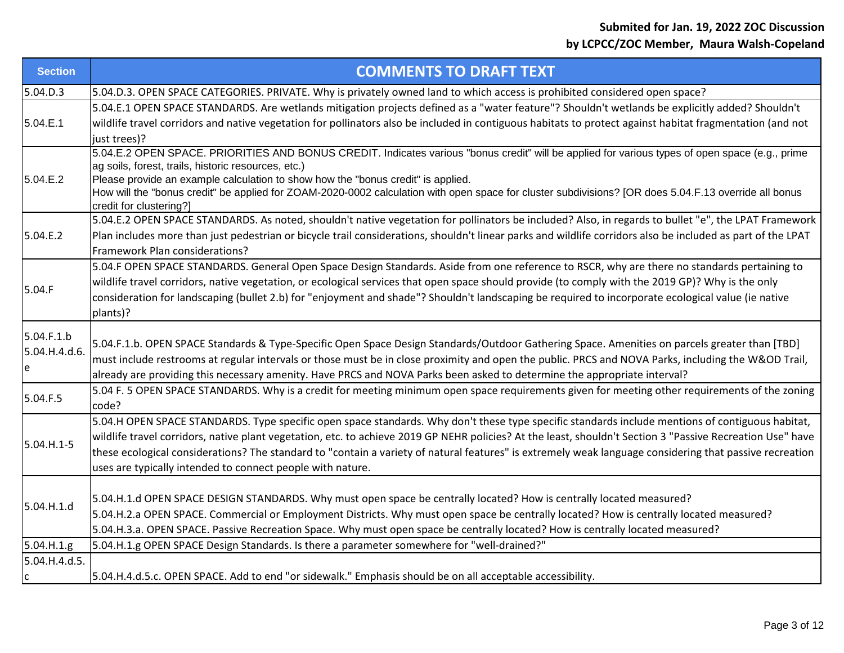| <b>Section</b> | <b>COMMENTS TO DRAFT TEXT</b>                                                                                                                                                    |
|----------------|----------------------------------------------------------------------------------------------------------------------------------------------------------------------------------|
| 5.04.D.3       | 5.04.D.3. OPEN SPACE CATEGORIES. PRIVATE. Why is privately owned land to which access is prohibited considered open space?                                                       |
| 5.04.E.1       | 5.04.E.1 OPEN SPACE STANDARDS. Are wetlands mitigation projects defined as a "water feature"? Shouldn't wetlands be explicitly added? Shouldn't                                  |
|                | wildlife travel corridors and native vegetation for pollinators also be included in contiguous habitats to protect against habitat fragmentation (and not                        |
|                | just trees)?                                                                                                                                                                     |
|                | 5.04.E.2 OPEN SPACE. PRIORITIES AND BONUS CREDIT. Indicates various "bonus credit" will be applied for various types of open space (e.g., prime                                  |
|                | ag soils, forest, trails, historic resources, etc.)                                                                                                                              |
| 5.04.E.2       | Please provide an example calculation to show how the "bonus credit" is applied.                                                                                                 |
|                | How will the "bonus credit" be applied for ZOAM-2020-0002 calculation with open space for cluster subdivisions? [OR does 5.04.F.13 override all bonus<br>credit for clustering?] |
|                | 5.04.E.2 OPEN SPACE STANDARDS. As noted, shouldn't native vegetation for pollinators be included? Also, in regards to bullet "e", the LPAT Framework                             |
| 5.04.E.2       | Plan includes more than just pedestrian or bicycle trail considerations, shouldn't linear parks and wildlife corridors also be included as part of the LPAT                      |
|                | Framework Plan considerations?                                                                                                                                                   |
|                | 5.04.F OPEN SPACE STANDARDS. General Open Space Design Standards. Aside from one reference to RSCR, why are there no standards pertaining to                                     |
|                | wildlife travel corridors, native vegetation, or ecological services that open space should provide (to comply with the 2019 GP)? Why is the only                                |
| 5.04.F         | consideration for landscaping (bullet 2.b) for "enjoyment and shade"? Shouldn't landscaping be required to incorporate ecological value (ie native                               |
|                | plants)?                                                                                                                                                                         |
| 5.04.F.1.b     |                                                                                                                                                                                  |
| 5.04.H.4.d.6.  | 5.04.F.1.b. OPEN SPACE Standards & Type-Specific Open Space Design Standards/Outdoor Gathering Space. Amenities on parcels greater than [TBD]                                    |
| e              | must include restrooms at regular intervals or those must be in close proximity and open the public. PRCS and NOVA Parks, including the W&OD Trail,                              |
|                | already are providing this necessary amenity. Have PRCS and NOVA Parks been asked to determine the appropriate interval?                                                         |
| 5.04.F.5       | 5.04 F. 5 OPEN SPACE STANDARDS. Why is a credit for meeting minimum open space requirements given for meeting other requirements of the zoning                                   |
|                | code?                                                                                                                                                                            |
|                | 5.04.H OPEN SPACE STANDARDS. Type specific open space standards. Why don't these type specific standards include mentions of contiguous habitat,                                 |
| 5.04.H.1-5     | wildlife travel corridors, native plant vegetation, etc. to achieve 2019 GP NEHR policies? At the least, shouldn't Section 3 "Passive Recreation Use" have                       |
|                | these ecological considerations? The standard to "contain a variety of natural features" is extremely weak language considering that passive recreation                          |
|                | uses are typically intended to connect people with nature.                                                                                                                       |
| 5.04.H.1.d     |                                                                                                                                                                                  |
|                | 5.04.H.1.d OPEN SPACE DESIGN STANDARDS. Why must open space be centrally located? How is centrally located measured?                                                             |
|                | 5.04.H.2.a OPEN SPACE. Commercial or Employment Districts. Why must open space be centrally located? How is centrally located measured?                                          |
|                | 5.04.H.3.a. OPEN SPACE. Passive Recreation Space. Why must open space be centrally located? How is centrally located measured?                                                   |
| 5.04.H.1.g.    | 5.04.H.1.g OPEN SPACE Design Standards. Is there a parameter somewhere for "well-drained?"                                                                                       |
| 5.04.H.4.d.5.  |                                                                                                                                                                                  |
| C              | 5.04.H.4.d.5.c. OPEN SPACE. Add to end "or sidewalk." Emphasis should be on all acceptable accessibility.                                                                        |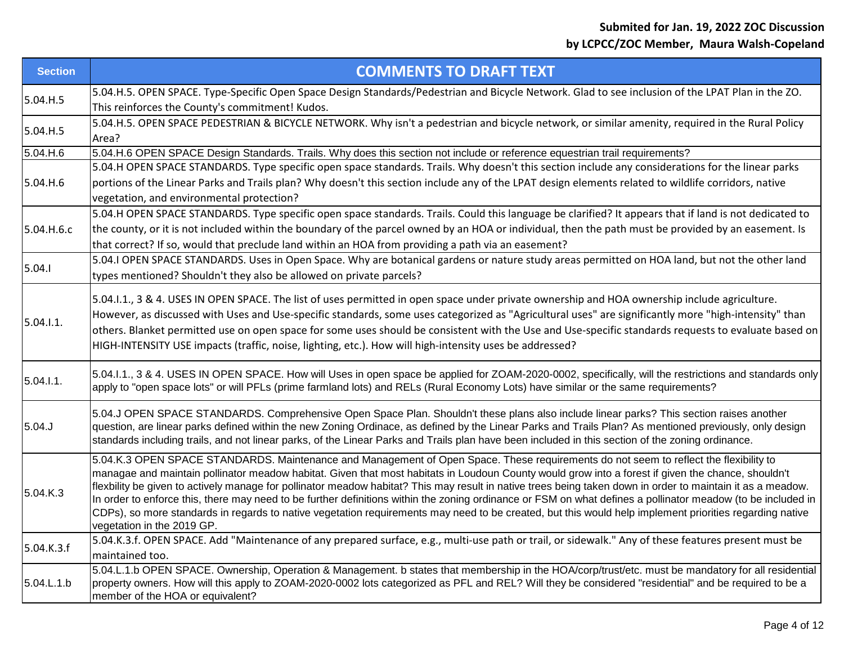| <b>Section</b> | <b>COMMENTS TO DRAFT TEXT</b>                                                                                                                                                                                                                                                                                                                                                                                                                                                                                                                                                                                                                                                                                                                                                                                       |
|----------------|---------------------------------------------------------------------------------------------------------------------------------------------------------------------------------------------------------------------------------------------------------------------------------------------------------------------------------------------------------------------------------------------------------------------------------------------------------------------------------------------------------------------------------------------------------------------------------------------------------------------------------------------------------------------------------------------------------------------------------------------------------------------------------------------------------------------|
| 5.04.H.5       | 5.04.H.5. OPEN SPACE. Type-Specific Open Space Design Standards/Pedestrian and Bicycle Network. Glad to see inclusion of the LPAT Plan in the ZO.<br>This reinforces the County's commitment! Kudos.                                                                                                                                                                                                                                                                                                                                                                                                                                                                                                                                                                                                                |
| 5.04.H.5       | 5.04.H.5. OPEN SPACE PEDESTRIAN & BICYCLE NETWORK. Why isn't a pedestrian and bicycle network, or similar amenity, required in the Rural Policy<br>Area?                                                                                                                                                                                                                                                                                                                                                                                                                                                                                                                                                                                                                                                            |
| 5.04.H.6       | 5.04.H.6 OPEN SPACE Design Standards. Trails. Why does this section not include or reference equestrian trail requirements?                                                                                                                                                                                                                                                                                                                                                                                                                                                                                                                                                                                                                                                                                         |
| 5.04.H.6       | 5.04.H OPEN SPACE STANDARDS. Type specific open space standards. Trails. Why doesn't this section include any considerations for the linear parks<br>portions of the Linear Parks and Trails plan? Why doesn't this section include any of the LPAT design elements related to wildlife corridors, native<br>vegetation, and environmental protection?                                                                                                                                                                                                                                                                                                                                                                                                                                                              |
| 5.04.H.6.c     | 5.04.H OPEN SPACE STANDARDS. Type specific open space standards. Trails. Could this language be clarified? It appears that if land is not dedicated to<br>the county, or it is not included within the boundary of the parcel owned by an HOA or individual, then the path must be provided by an easement. Is<br>that correct? If so, would that preclude land within an HOA from providing a path via an easement?                                                                                                                                                                                                                                                                                                                                                                                                |
| 5.04.1         | 5.04.I OPEN SPACE STANDARDS. Uses in Open Space. Why are botanical gardens or nature study areas permitted on HOA land, but not the other land<br>types mentioned? Shouldn't they also be allowed on private parcels?                                                                                                                                                                                                                                                                                                                                                                                                                                                                                                                                                                                               |
| 5.04.1.1.      | 5.04.1.1., 3 & 4. USES IN OPEN SPACE. The list of uses permitted in open space under private ownership and HOA ownership include agriculture.<br>However, as discussed with Uses and Use-specific standards, some uses categorized as "Agricultural uses" are significantly more "high-intensity" than<br>others. Blanket permitted use on open space for some uses should be consistent with the Use and Use-specific standards requests to evaluate based on<br>HIGH-INTENSITY USE impacts (traffic, noise, lighting, etc.). How will high-intensity uses be addressed?                                                                                                                                                                                                                                           |
| 5.04.1.1.      | 5.04.I.1., 3 & 4. USES IN OPEN SPACE. How will Uses in open space be applied for ZOAM-2020-0002, specifically, will the restrictions and standards only<br>apply to "open space lots" or will PFLs (prime farmland lots) and RELs (Rural Economy Lots) have similar or the same requirements?                                                                                                                                                                                                                                                                                                                                                                                                                                                                                                                       |
| 5.04.J         | 5.04.J OPEN SPACE STANDARDS. Comprehensive Open Space Plan. Shouldn't these plans also include linear parks? This section raises another<br>question, are linear parks defined within the new Zoning Ordinace, as defined by the Linear Parks and Trails Plan? As mentioned previously, only design<br>standards including trails, and not linear parks, of the Linear Parks and Trails plan have been included in this section of the zoning ordinance.                                                                                                                                                                                                                                                                                                                                                            |
| 5.04.K.3       | 5.04.K.3 OPEN SPACE STANDARDS. Maintenance and Management of Open Space. These requirements do not seem to reflect the flexibility to<br>managae and maintain pollinator meadow habitat. Given that most habitats in Loudoun County would grow into a forest if given the chance, shouldn't<br>flexbility be given to actively manage for pollinator meadow habitat? This may result in native trees being taken down in order to maintain it as a meadow.<br>In order to enforce this, there may need to be further definitions within the zoning ordinance or FSM on what defines a pollinator meadow (to be included in<br>CDPs), so more standards in regards to native vegetation requirements may need to be created, but this would help implement priorities regarding native<br>vegetation in the 2019 GP. |
| 5.04.K.3.f     | 5.04.K.3.f. OPEN SPACE. Add "Maintenance of any prepared surface, e.g., multi-use path or trail, or sidewalk." Any of these features present must be<br>maintained too.                                                                                                                                                                                                                                                                                                                                                                                                                                                                                                                                                                                                                                             |
| 5.04.L.1.b     | 5.04.L.1.b OPEN SPACE. Ownership, Operation & Management. b states that membership in the HOA/corp/trust/etc. must be mandatory for all residential<br>property owners. How will this apply to ZOAM-2020-0002 lots categorized as PFL and REL? Will they be considered "residential" and be required to be a<br>member of the HOA or equivalent?                                                                                                                                                                                                                                                                                                                                                                                                                                                                    |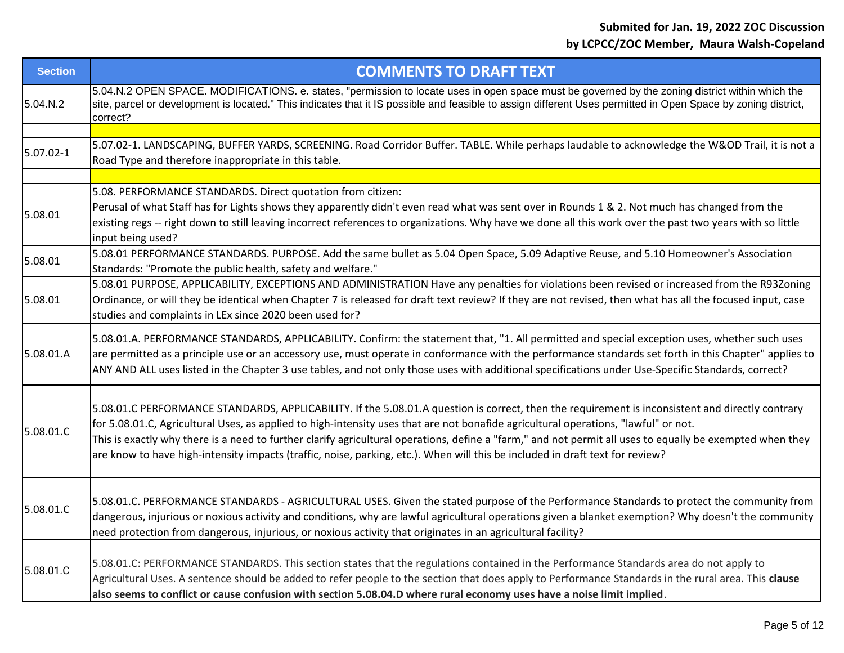| <b>Section</b> | <b>COMMENTS TO DRAFT TEXT</b>                                                                                                                                                                                                                                                                                                                                                                                                                                                                                                                                                         |
|----------------|---------------------------------------------------------------------------------------------------------------------------------------------------------------------------------------------------------------------------------------------------------------------------------------------------------------------------------------------------------------------------------------------------------------------------------------------------------------------------------------------------------------------------------------------------------------------------------------|
| 5.04.N.2       | 5.04.N.2 OPEN SPACE. MODIFICATIONS. e. states, "permission to locate uses in open space must be governed by the zoning district within which the<br>site, parcel or development is located." This indicates that it IS possible and feasible to assign different Uses permitted in Open Space by zoning district,<br>correct?                                                                                                                                                                                                                                                         |
|                |                                                                                                                                                                                                                                                                                                                                                                                                                                                                                                                                                                                       |
| 5.07.02-1      | 5.07.02-1. LANDSCAPING, BUFFER YARDS, SCREENING. Road Corridor Buffer. TABLE. While perhaps laudable to acknowledge the W&OD Trail, it is not a<br>Road Type and therefore inappropriate in this table.                                                                                                                                                                                                                                                                                                                                                                               |
|                |                                                                                                                                                                                                                                                                                                                                                                                                                                                                                                                                                                                       |
| 5.08.01        | 5.08. PERFORMANCE STANDARDS. Direct quotation from citizen:<br>Perusal of what Staff has for Lights shows they apparently didn't even read what was sent over in Rounds 1 & 2. Not much has changed from the<br>existing regs -- right down to still leaving incorrect references to organizations. Why have we done all this work over the past two years with so little<br>input being used?                                                                                                                                                                                        |
| 5.08.01        | 5.08.01 PERFORMANCE STANDARDS. PURPOSE. Add the same bullet as 5.04 Open Space, 5.09 Adaptive Reuse, and 5.10 Homeowner's Association<br>Standards: "Promote the public health, safety and welfare."                                                                                                                                                                                                                                                                                                                                                                                  |
| 5.08.01        | 5.08.01 PURPOSE, APPLICABILITY, EXCEPTIONS AND ADMINISTRATION Have any penalties for violations been revised or increased from the R93Zoning<br>Ordinance, or will they be identical when Chapter 7 is released for draft text review? If they are not revised, then what has all the focused input, case<br>studies and complaints in LEx since 2020 been used for?                                                                                                                                                                                                                  |
| 5.08.01.A      | 5.08.01.A. PERFORMANCE STANDARDS, APPLICABILITY. Confirm: the statement that, "1. All permitted and special exception uses, whether such uses<br>are permitted as a principle use or an accessory use, must operate in conformance with the performance standards set forth in this Chapter" applies to<br>ANY AND ALL uses listed in the Chapter 3 use tables, and not only those uses with additional specifications under Use-Specific Standards, correct?                                                                                                                         |
| 5.08.01.C      | 5.08.01.C PERFORMANCE STANDARDS, APPLICABILITY. If the 5.08.01.A question is correct, then the requirement is inconsistent and directly contrary<br>for 5.08.01.C, Agricultural Uses, as applied to high-intensity uses that are not bonafide agricultural operations, "lawful" or not.<br>This is exactly why there is a need to further clarify agricultural operations, define a "farm," and not permit all uses to equally be exempted when they<br>are know to have high-intensity impacts (traffic, noise, parking, etc.). When will this be included in draft text for review? |
| 5.08.01.C      | 5.08.01.C. PERFORMANCE STANDARDS - AGRICULTURAL USES. Given the stated purpose of the Performance Standards to protect the community from<br>dangerous, injurious or noxious activity and conditions, why are lawful agricultural operations given a blanket exemption? Why doesn't the community<br>need protection from dangerous, injurious, or noxious activity that originates in an agricultural facility?                                                                                                                                                                      |
| 5.08.01.C      | 5.08.01.C: PERFORMANCE STANDARDS. This section states that the regulations contained in the Performance Standards area do not apply to<br>Agricultural Uses. A sentence should be added to refer people to the section that does apply to Performance Standards in the rural area. This clause<br>also seems to conflict or cause confusion with section 5.08.04.D where rural economy uses have a noise limit implied.                                                                                                                                                               |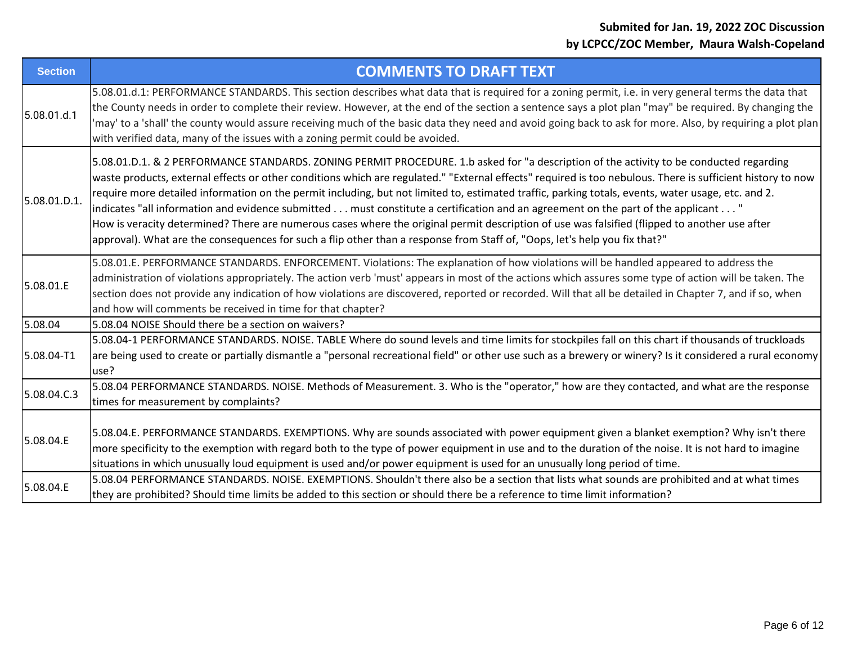| <b>Section</b> | <b>COMMENTS TO DRAFT TEXT</b>                                                                                                                                                                                                                                                                                                                                                                                                                                                                                                                                                                                                                                                                                                                                                                                                                                                   |
|----------------|---------------------------------------------------------------------------------------------------------------------------------------------------------------------------------------------------------------------------------------------------------------------------------------------------------------------------------------------------------------------------------------------------------------------------------------------------------------------------------------------------------------------------------------------------------------------------------------------------------------------------------------------------------------------------------------------------------------------------------------------------------------------------------------------------------------------------------------------------------------------------------|
| 5.08.01.d.1    | 5.08.01.d.1: PERFORMANCE STANDARDS. This section describes what data that is required for a zoning permit, i.e. in very general terms the data that<br>the County needs in order to complete their review. However, at the end of the section a sentence says a plot plan "may" be required. By changing the<br>'may' to a 'shall' the county would assure receiving much of the basic data they need and avoid going back to ask for more. Also, by requiring a plot plan<br>with verified data, many of the issues with a zoning permit could be avoided.                                                                                                                                                                                                                                                                                                                     |
| 5.08.01.D.1.   | 5.08.01.D.1. & 2 PERFORMANCE STANDARDS. ZONING PERMIT PROCEDURE. 1.b asked for "a description of the activity to be conducted regarding<br>waste products, external effects or other conditions which are regulated." "External effects" required is too nebulous. There is sufficient history to now<br>require more detailed information on the permit including, but not limited to, estimated traffic, parking totals, events, water usage, etc. and 2.<br>indicates "all information and evidence submitted must constitute a certification and an agreement on the part of the applicant "<br>How is veracity determined? There are numerous cases where the original permit description of use was falsified (flipped to another use after<br>approval). What are the consequences for such a flip other than a response from Staff of, "Oops, let's help you fix that?" |
| 5.08.01.E      | 5.08.01.E. PERFORMANCE STANDARDS. ENFORCEMENT. Violations: The explanation of how violations will be handled appeared to address the<br>administration of violations appropriately. The action verb 'must' appears in most of the actions which assures some type of action will be taken. The<br>section does not provide any indication of how violations are discovered, reported or recorded. Will that all be detailed in Chapter 7, and if so, when<br>and how will comments be received in time for that chapter?                                                                                                                                                                                                                                                                                                                                                        |
| 5.08.04        | 5.08.04 NOISE Should there be a section on waivers?                                                                                                                                                                                                                                                                                                                                                                                                                                                                                                                                                                                                                                                                                                                                                                                                                             |
| 5.08.04-T1     | 5.08.04-1 PERFORMANCE STANDARDS. NOISE. TABLE Where do sound levels and time limits for stockpiles fall on this chart if thousands of truckloads<br>are being used to create or partially dismantle a "personal recreational field" or other use such as a brewery or winery? Is it considered a rural economy<br>use?                                                                                                                                                                                                                                                                                                                                                                                                                                                                                                                                                          |
| 5.08.04.C.3    | 5.08.04 PERFORMANCE STANDARDS. NOISE. Methods of Measurement. 3. Who is the "operator," how are they contacted, and what are the response<br>times for measurement by complaints?                                                                                                                                                                                                                                                                                                                                                                                                                                                                                                                                                                                                                                                                                               |
| 5.08.04.E      | 5.08.04.E. PERFORMANCE STANDARDS. EXEMPTIONS. Why are sounds associated with power equipment given a blanket exemption? Why isn't there<br>more specificity to the exemption with regard both to the type of power equipment in use and to the duration of the noise. It is not hard to imagine<br>situations in which unusually loud equipment is used and/or power equipment is used for an unusually long period of time.                                                                                                                                                                                                                                                                                                                                                                                                                                                    |
| 5.08.04.E      | 5.08.04 PERFORMANCE STANDARDS. NOISE. EXEMPTIONS. Shouldn't there also be a section that lists what sounds are prohibited and at what times<br>they are prohibited? Should time limits be added to this section or should there be a reference to time limit information?                                                                                                                                                                                                                                                                                                                                                                                                                                                                                                                                                                                                       |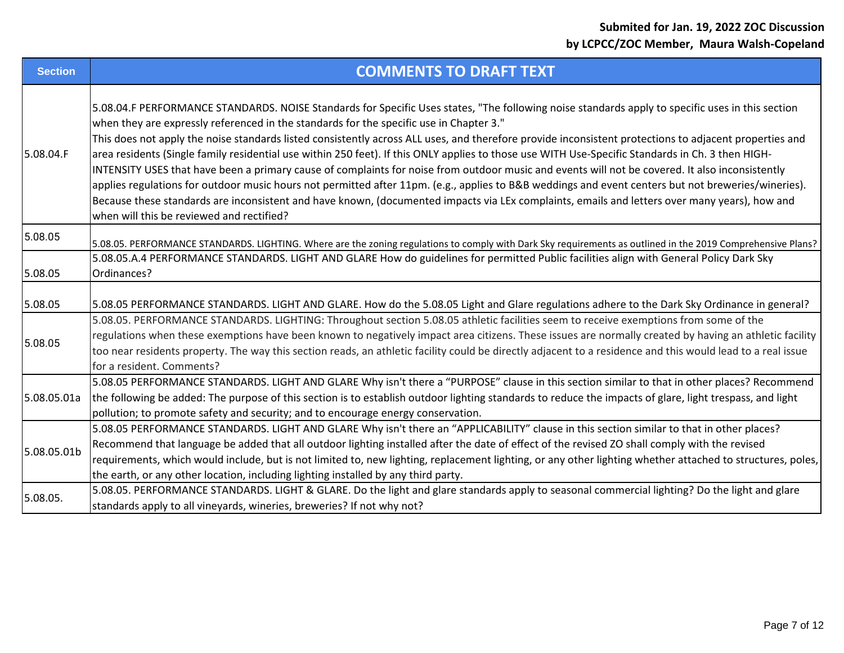| <b>Section</b> | <b>COMMENTS TO DRAFT TEXT</b>                                                                                                                                                                                                                                                                                                                                                                                                                                                                                                                                                                                                                                                                                                                                                                                                                                                                                                                                                                                                                                      |
|----------------|--------------------------------------------------------------------------------------------------------------------------------------------------------------------------------------------------------------------------------------------------------------------------------------------------------------------------------------------------------------------------------------------------------------------------------------------------------------------------------------------------------------------------------------------------------------------------------------------------------------------------------------------------------------------------------------------------------------------------------------------------------------------------------------------------------------------------------------------------------------------------------------------------------------------------------------------------------------------------------------------------------------------------------------------------------------------|
| 5.08.04.F      | 5.08.04.F PERFORMANCE STANDARDS. NOISE Standards for Specific Uses states, "The following noise standards apply to specific uses in this section<br>when they are expressly referenced in the standards for the specific use in Chapter 3."<br>This does not apply the noise standards listed consistently across ALL uses, and therefore provide inconsistent protections to adjacent properties and<br>area residents (Single family residential use within 250 feet). If this ONLY applies to those use WITH Use-Specific Standards in Ch. 3 then HIGH-<br>INTENSITY USES that have been a primary cause of complaints for noise from outdoor music and events will not be covered. It also inconsistently<br>applies regulations for outdoor music hours not permitted after 11pm. (e.g., applies to B&B weddings and event centers but not breweries/wineries).<br>Because these standards are inconsistent and have known, (documented impacts via LEx complaints, emails and letters over many years), how and<br>when will this be reviewed and rectified? |
| 5.08.05        | 5.08.05. PERFORMANCE STANDARDS. LIGHTING. Where are the zoning regulations to comply with Dark Sky requirements as outlined in the 2019 Comprehensive Plans?                                                                                                                                                                                                                                                                                                                                                                                                                                                                                                                                                                                                                                                                                                                                                                                                                                                                                                       |
| 5.08.05        | 5.08.05.A.4 PERFORMANCE STANDARDS. LIGHT AND GLARE How do guidelines for permitted Public facilities align with General Policy Dark Sky<br>Ordinances?                                                                                                                                                                                                                                                                                                                                                                                                                                                                                                                                                                                                                                                                                                                                                                                                                                                                                                             |
| 5.08.05        | 5.08.05 PERFORMANCE STANDARDS. LIGHT AND GLARE. How do the 5.08.05 Light and Glare regulations adhere to the Dark Sky Ordinance in general?                                                                                                                                                                                                                                                                                                                                                                                                                                                                                                                                                                                                                                                                                                                                                                                                                                                                                                                        |
| 5.08.05        | 5.08.05. PERFORMANCE STANDARDS. LIGHTING: Throughout section 5.08.05 athletic facilities seem to receive exemptions from some of the<br>regulations when these exemptions have been known to negatively impact area citizens. These issues are normally created by having an athletic facility<br>too near residents property. The way this section reads, an athletic facility could be directly adjacent to a residence and this would lead to a real issue<br>for a resident. Comments?                                                                                                                                                                                                                                                                                                                                                                                                                                                                                                                                                                         |
| 5.08.05.01a    | 5.08.05 PERFORMANCE STANDARDS. LIGHT AND GLARE Why isn't there a "PURPOSE" clause in this section similar to that in other places? Recommend<br>the following be added: The purpose of this section is to establish outdoor lighting standards to reduce the impacts of glare, light trespass, and light<br>pollution; to promote safety and security; and to encourage energy conservation.                                                                                                                                                                                                                                                                                                                                                                                                                                                                                                                                                                                                                                                                       |
| 5.08.05.01b    | 5.08.05 PERFORMANCE STANDARDS. LIGHT AND GLARE Why isn't there an "APPLICABILITY" clause in this section similar to that in other places?<br>Recommend that language be added that all outdoor lighting installed after the date of effect of the revised ZO shall comply with the revised<br>requirements, which would include, but is not limited to, new lighting, replacement lighting, or any other lighting whether attached to structures, poles,<br>the earth, or any other location, including lighting installed by any third party.                                                                                                                                                                                                                                                                                                                                                                                                                                                                                                                     |
| 5.08.05.       | 5.08.05. PERFORMANCE STANDARDS. LIGHT & GLARE. Do the light and glare standards apply to seasonal commercial lighting? Do the light and glare<br>standards apply to all vineyards, wineries, breweries? If not why not?                                                                                                                                                                                                                                                                                                                                                                                                                                                                                                                                                                                                                                                                                                                                                                                                                                            |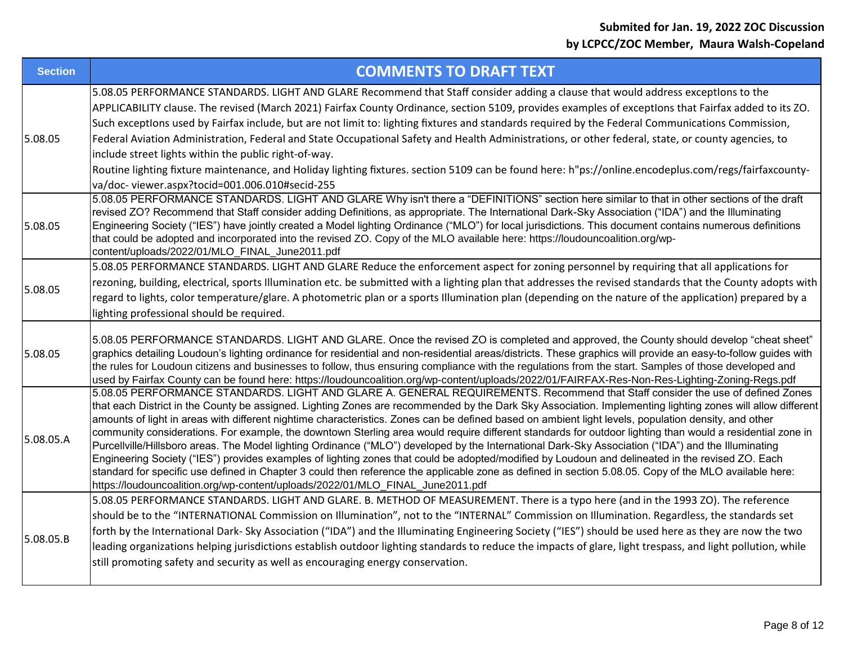| <b>Section</b> | <b>COMMENTS TO DRAFT TEXT</b>                                                                                                                                                                                                                                                                                                                                                                                                                                                                                                                                                                                                                                                                                                                                                                                                                                                                                                                                                                                                                                                                                                                                            |
|----------------|--------------------------------------------------------------------------------------------------------------------------------------------------------------------------------------------------------------------------------------------------------------------------------------------------------------------------------------------------------------------------------------------------------------------------------------------------------------------------------------------------------------------------------------------------------------------------------------------------------------------------------------------------------------------------------------------------------------------------------------------------------------------------------------------------------------------------------------------------------------------------------------------------------------------------------------------------------------------------------------------------------------------------------------------------------------------------------------------------------------------------------------------------------------------------|
| 5.08.05        | 5.08.05 PERFORMANCE STANDARDS. LIGHT AND GLARE Recommend that Staff consider adding a clause that would address exceptions to the<br>APPLICABILITY clause. The revised (March 2021) Fairfax County Ordinance, section 5109, provides examples of exceptlons that Fairfax added to its ZO.<br>Such exceptions used by Fairfax include, but are not limit to: lighting fixtures and standards required by the Federal Communications Commission,<br>Federal Aviation Administration, Federal and State Occupational Safety and Health Administrations, or other federal, state, or county agencies, to<br>include street lights within the public right-of-way.<br>Routine lighting fixture maintenance, and Holiday lighting fixtures. section 5109 can be found here: h"ps://online.encodeplus.com/regs/fairfaxcounty-                                                                                                                                                                                                                                                                                                                                                   |
|                | va/doc-viewer.aspx?tocid=001.006.010#secid-255                                                                                                                                                                                                                                                                                                                                                                                                                                                                                                                                                                                                                                                                                                                                                                                                                                                                                                                                                                                                                                                                                                                           |
| 5.08.05        | 5.08.05 PERFORMANCE STANDARDS. LIGHT AND GLARE Why isn't there a "DEFINITIONS" section here similar to that in other sections of the draft<br>revised ZO? Recommend that Staff consider adding Definitions, as appropriate. The International Dark-Sky Association ("IDA") and the Illuminating<br>Engineering Society ("IES") have jointly created a Model lighting Ordinance ("MLO") for local jurisdictions. This document contains numerous definitions<br>that could be adopted and incorporated into the revised ZO. Copy of the MLO available here: https://loudouncoalition.org/wp-<br>content/uploads/2022/01/MLO_FINAL_June2011.pdf                                                                                                                                                                                                                                                                                                                                                                                                                                                                                                                            |
| 5.08.05        | 5.08.05 PERFORMANCE STANDARDS. LIGHT AND GLARE Reduce the enforcement aspect for zoning personnel by requiring that all applications for<br>rezoning, building, electrical, sports Illumination etc. be submitted with a lighting plan that addresses the revised standards that the County adopts with<br>regard to lights, color temperature/glare. A photometric plan or a sports Illumination plan (depending on the nature of the application) prepared by a<br>lighting professional should be required.                                                                                                                                                                                                                                                                                                                                                                                                                                                                                                                                                                                                                                                           |
| 5.08.05        | 5.08.05 PERFORMANCE STANDARDS. LIGHT AND GLARE. Once the revised ZO is completed and approved, the County should develop "cheat sheet"<br>graphics detailing Loudoun's lighting ordinance for residential and non-residential areas/districts. These graphics will provide an easy-to-follow guides with<br>the rules for Loudoun citizens and businesses to follow, thus ensuring compliance with the regulations from the start. Samples of those developed and<br>used by Fairfax County can be found here: https://loudouncoalition.org/wp-content/uploads/2022/01/FAIRFAX-Res-Non-Res-Lighting-Zoning-Regs.pdf                                                                                                                                                                                                                                                                                                                                                                                                                                                                                                                                                      |
| 5.08.05.A      | 5.08.05 PERFORMANCE STANDARDS. LIGHT AND GLARE A. GENERAL REQUIREMENTS. Recommend that Staff consider the use of defined Zones<br>that each District in the County be assigned. Lighting Zones are recommended by the Dark Sky Association. Implementing lighting zones will allow different<br>amounts of light in areas with different nightime characteristics. Zones can be defined based on ambient light levels, population density, and other<br>community considerations. For example, the downtown Sterling area would require different standards for outdoor lighting than would a residential zone in<br>Purcellville/Hillsboro areas. The Model lighting Ordinance ("MLO") developed by the International Dark-Sky Association ("IDA") and the Illuminating<br>Engineering Society ("IES") provides examples of lighting zones that could be adopted/modified by Loudoun and delineated in the revised ZO. Each<br>standard for specific use defined in Chapter 3 could then reference the applicable zone as defined in section 5.08.05. Copy of the MLO available here:<br>https://loudouncoalition.org/wp-content/uploads/2022/01/MLO_FINAL_June2011.pdf |
| 5.08.05.B      | 5.08.05 PERFORMANCE STANDARDS. LIGHT AND GLARE. B. METHOD OF MEASUREMENT. There is a typo here (and in the 1993 ZO). The reference<br>should be to the "INTERNATIONAL Commission on Illumination", not to the "INTERNAL" Commission on Illumination. Regardless, the standards set<br>forth by the International Dark-Sky Association ("IDA") and the Illuminating Engineering Society ("IES") should be used here as they are now the two<br>leading organizations helping jurisdictions establish outdoor lighting standards to reduce the impacts of glare, light trespass, and light pollution, while<br>still promoting safety and security as well as encouraging energy conservation.                                                                                                                                                                                                                                                                                                                                                                                                                                                                             |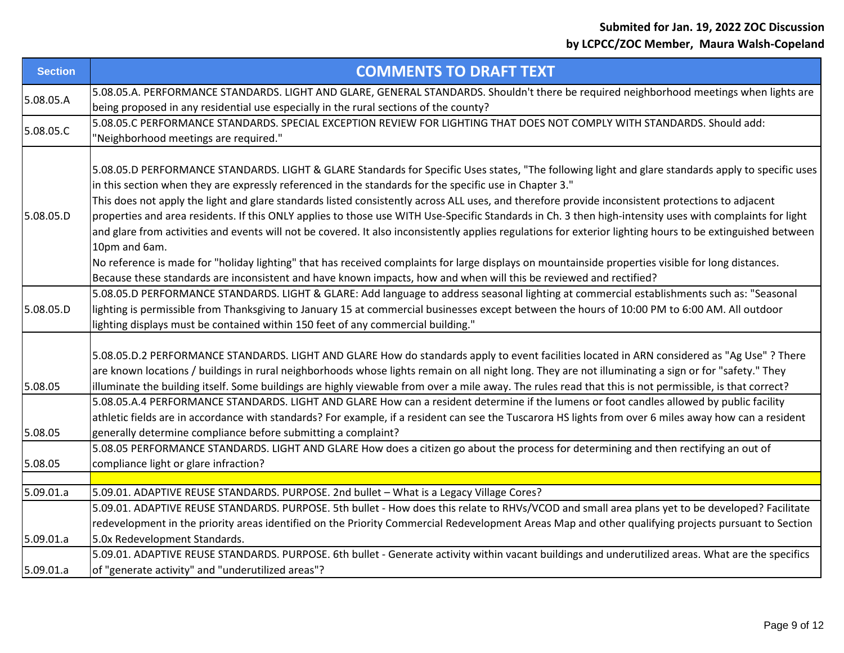| <b>Section</b> | <b>COMMENTS TO DRAFT TEXT</b>                                                                                                                                                                                                                                                                                                                                                                                                                                                                                                                                                                                                                                                                                                                                                                                                                                                                                                                                                                                                              |
|----------------|--------------------------------------------------------------------------------------------------------------------------------------------------------------------------------------------------------------------------------------------------------------------------------------------------------------------------------------------------------------------------------------------------------------------------------------------------------------------------------------------------------------------------------------------------------------------------------------------------------------------------------------------------------------------------------------------------------------------------------------------------------------------------------------------------------------------------------------------------------------------------------------------------------------------------------------------------------------------------------------------------------------------------------------------|
| 5.08.05.A      | 5.08.05.A. PERFORMANCE STANDARDS. LIGHT AND GLARE, GENERAL STANDARDS. Shouldn't there be required neighborhood meetings when lights are<br>being proposed in any residential use especially in the rural sections of the county?                                                                                                                                                                                                                                                                                                                                                                                                                                                                                                                                                                                                                                                                                                                                                                                                           |
| 5.08.05.C      | 5.08.05.C PERFORMANCE STANDARDS. SPECIAL EXCEPTION REVIEW FOR LIGHTING THAT DOES NOT COMPLY WITH STANDARDS. Should add:<br>"Neighborhood meetings are required."                                                                                                                                                                                                                                                                                                                                                                                                                                                                                                                                                                                                                                                                                                                                                                                                                                                                           |
| 5.08.05.D      | 5.08.05.D PERFORMANCE STANDARDS. LIGHT & GLARE Standards for Specific Uses states, "The following light and glare standards apply to specific uses<br>in this section when they are expressly referenced in the standards for the specific use in Chapter 3."<br>This does not apply the light and glare standards listed consistently across ALL uses, and therefore provide inconsistent protections to adjacent<br>properties and area residents. If this ONLY applies to those use WITH Use-Specific Standards in Ch. 3 then high-intensity uses with complaints for light<br>and glare from activities and events will not be covered. It also inconsistently applies regulations for exterior lighting hours to be extinguished between<br>10pm and 6am.<br>No reference is made for "holiday lighting" that has received complaints for large displays on mountainside properties visible for long distances.<br>Because these standards are inconsistent and have known impacts, how and when will this be reviewed and rectified? |
| 5.08.05.D      | 5.08.05.D PERFORMANCE STANDARDS. LIGHT & GLARE: Add language to address seasonal lighting at commercial establishments such as: "Seasonal<br>lighting is permissible from Thanksgiving to January 15 at commercial businesses except between the hours of 10:00 PM to 6:00 AM. All outdoor<br>lighting displays must be contained within 150 feet of any commercial building."                                                                                                                                                                                                                                                                                                                                                                                                                                                                                                                                                                                                                                                             |
| 5.08.05        | 5.08.05.D.2 PERFORMANCE STANDARDS. LIGHT AND GLARE How do standards apply to event facilities located in ARN considered as "Ag Use" ? There<br>are known locations / buildings in rural neighborhoods whose lights remain on all night long. They are not illuminating a sign or for "safety." They<br>illuminate the building itself. Some buildings are highly viewable from over a mile away. The rules read that this is not permissible, is that correct?                                                                                                                                                                                                                                                                                                                                                                                                                                                                                                                                                                             |
| 5.08.05        | 5.08.05.A.4 PERFORMANCE STANDARDS. LIGHT AND GLARE How can a resident determine if the lumens or foot candles allowed by public facility<br>athletic fields are in accordance with standards? For example, if a resident can see the Tuscarora HS lights from over 6 miles away how can a resident<br>generally determine compliance before submitting a complaint?                                                                                                                                                                                                                                                                                                                                                                                                                                                                                                                                                                                                                                                                        |
| 5.08.05        | 5.08.05 PERFORMANCE STANDARDS. LIGHT AND GLARE How does a citizen go about the process for determining and then rectifying an out of<br>compliance light or glare infraction?                                                                                                                                                                                                                                                                                                                                                                                                                                                                                                                                                                                                                                                                                                                                                                                                                                                              |
| 5.09.01.a      | 5.09.01. ADAPTIVE REUSE STANDARDS. PURPOSE. 2nd bullet - What is a Legacy Village Cores?                                                                                                                                                                                                                                                                                                                                                                                                                                                                                                                                                                                                                                                                                                                                                                                                                                                                                                                                                   |
| 5.09.01.a      | 5.09.01. ADAPTIVE REUSE STANDARDS. PURPOSE. 5th bullet - How does this relate to RHVs/VCOD and small area plans yet to be developed? Facilitate<br>redevelopment in the priority areas identified on the Priority Commercial Redevelopment Areas Map and other qualifying projects pursuant to Section<br>5.0x Redevelopment Standards.                                                                                                                                                                                                                                                                                                                                                                                                                                                                                                                                                                                                                                                                                                    |
| 5.09.01.a      | 5.09.01. ADAPTIVE REUSE STANDARDS. PURPOSE. 6th bullet - Generate activity within vacant buildings and underutilized areas. What are the specifics<br>of "generate activity" and "underutilized areas"?                                                                                                                                                                                                                                                                                                                                                                                                                                                                                                                                                                                                                                                                                                                                                                                                                                    |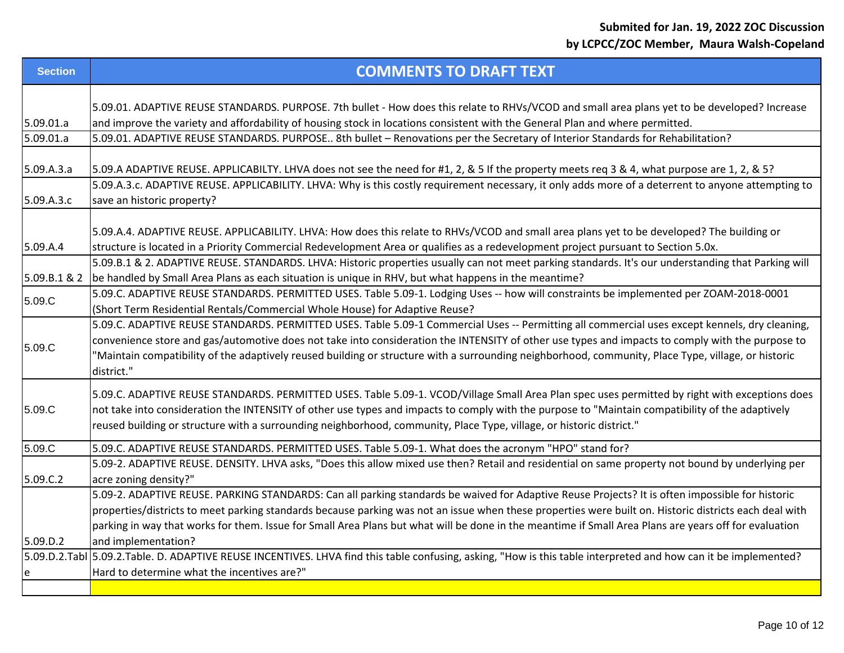| <b>Section</b> | <b>COMMENTS TO DRAFT TEXT</b>                                                                                                                                                                                                                                                                                                                                                                                                                                           |
|----------------|-------------------------------------------------------------------------------------------------------------------------------------------------------------------------------------------------------------------------------------------------------------------------------------------------------------------------------------------------------------------------------------------------------------------------------------------------------------------------|
| 5.09.01.a      | 5.09.01. ADAPTIVE REUSE STANDARDS. PURPOSE. 7th bullet - How does this relate to RHVs/VCOD and small area plans yet to be developed? Increase<br>and improve the variety and affordability of housing stock in locations consistent with the General Plan and where permitted.                                                                                                                                                                                          |
| 5.09.01.a      | 5.09.01. ADAPTIVE REUSE STANDARDS. PURPOSE 8th bullet - Renovations per the Secretary of Interior Standards for Rehabilitation?                                                                                                                                                                                                                                                                                                                                         |
| 5.09.A.3.a     | 5.09.A ADAPTIVE REUSE. APPLICABILTY. LHVA does not see the need for #1, 2, & 5 If the property meets req 3 & 4, what purpose are 1, 2, & 5?<br>5.09.A.3.c. ADAPTIVE REUSE. APPLICABILITY. LHVA: Why is this costly requirement necessary, it only adds more of a deterrent to anyone attempting to                                                                                                                                                                      |
| 5.09.A.3.c     | save an historic property?                                                                                                                                                                                                                                                                                                                                                                                                                                              |
|                |                                                                                                                                                                                                                                                                                                                                                                                                                                                                         |
| 5.09.A.4       | 5.09.A.4. ADAPTIVE REUSE. APPLICABILITY. LHVA: How does this relate to RHVs/VCOD and small area plans yet to be developed? The building or<br>structure is located in a Priority Commercial Redevelopment Area or qualifies as a redevelopment project pursuant to Section 5.0x.                                                                                                                                                                                        |
| 5.09.B.1 & 2   | 5.09.B.1 & 2. ADAPTIVE REUSE. STANDARDS. LHVA: Historic properties usually can not meet parking standards. It's our understanding that Parking will<br>be handled by Small Area Plans as each situation is unique in RHV, but what happens in the meantime?                                                                                                                                                                                                             |
| 5.09.C         | 5.09.C. ADAPTIVE REUSE STANDARDS. PERMITTED USES. Table 5.09-1. Lodging Uses -- how will constraints be implemented per ZOAM-2018-0001<br>(Short Term Residential Rentals/Commercial Whole House) for Adaptive Reuse?                                                                                                                                                                                                                                                   |
| 5.09.C         | 5.09.C. ADAPTIVE REUSE STANDARDS. PERMITTED USES. Table 5.09-1 Commercial Uses -- Permitting all commercial uses except kennels, dry cleaning,<br>convenience store and gas/automotive does not take into consideration the INTENSITY of other use types and impacts to comply with the purpose to<br>"Maintain compatibility of the adaptively reused building or structure with a surrounding neighborhood, community, Place Type, village, or historic<br>district." |
| 5.09.C         | 5.09.C. ADAPTIVE REUSE STANDARDS. PERMITTED USES. Table 5.09-1. VCOD/Village Small Area Plan spec uses permitted by right with exceptions does<br>not take into consideration the INTENSITY of other use types and impacts to comply with the purpose to "Maintain compatibility of the adaptively<br>reused building or structure with a surrounding neighborhood, community, Place Type, village, or historic district."                                              |
| 5.09.C         | 5.09.C. ADAPTIVE REUSE STANDARDS. PERMITTED USES. Table 5.09-1. What does the acronym "HPO" stand for?                                                                                                                                                                                                                                                                                                                                                                  |
| 5.09.C.2       | 5.09-2. ADAPTIVE REUSE. DENSITY. LHVA asks, "Does this allow mixed use then? Retail and residential on same property not bound by underlying per<br>acre zoning density?"                                                                                                                                                                                                                                                                                               |
|                | 5.09-2. ADAPTIVE REUSE. PARKING STANDARDS: Can all parking standards be waived for Adaptive Reuse Projects? It is often impossible for historic<br>properties/districts to meet parking standards because parking was not an issue when these properties were built on. Historic districts each deal with<br>parking in way that works for them. Issue for Small Area Plans but what will be done in the meantime if Small Area Plans are years off for evaluation      |
| 5.09.D.2       | and implementation?<br>5.09.D.2.Tabl 5.09.2.Table. D. ADAPTIVE REUSE INCENTIVES. LHVA find this table confusing, asking, "How is this table interpreted and how can it be implemented?                                                                                                                                                                                                                                                                                  |
| e              | Hard to determine what the incentives are?"                                                                                                                                                                                                                                                                                                                                                                                                                             |
|                |                                                                                                                                                                                                                                                                                                                                                                                                                                                                         |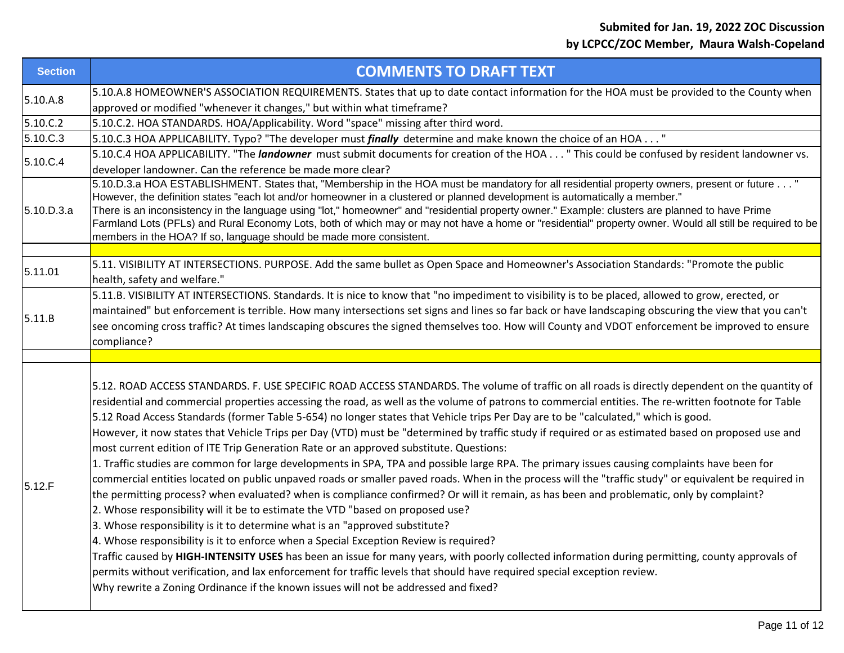| <b>Section</b> | <b>COMMENTS TO DRAFT TEXT</b>                                                                                                                                                                                                                                                                                                                                                                                                                                                                                                                                                                                                                                                                                                                                                                                                                                                                                                                                                                                                                                                                                                                                                                                                                                                                                                                                                                                                                                                                                                                                                                                                                                                                                                                                                       |
|----------------|-------------------------------------------------------------------------------------------------------------------------------------------------------------------------------------------------------------------------------------------------------------------------------------------------------------------------------------------------------------------------------------------------------------------------------------------------------------------------------------------------------------------------------------------------------------------------------------------------------------------------------------------------------------------------------------------------------------------------------------------------------------------------------------------------------------------------------------------------------------------------------------------------------------------------------------------------------------------------------------------------------------------------------------------------------------------------------------------------------------------------------------------------------------------------------------------------------------------------------------------------------------------------------------------------------------------------------------------------------------------------------------------------------------------------------------------------------------------------------------------------------------------------------------------------------------------------------------------------------------------------------------------------------------------------------------------------------------------------------------------------------------------------------------|
| 5.10.A.8       | 5.10.A.8 HOMEOWNER'S ASSOCIATION REQUIREMENTS. States that up to date contact information for the HOA must be provided to the County when<br>approved or modified "whenever it changes," but within what timeframe?                                                                                                                                                                                                                                                                                                                                                                                                                                                                                                                                                                                                                                                                                                                                                                                                                                                                                                                                                                                                                                                                                                                                                                                                                                                                                                                                                                                                                                                                                                                                                                 |
| 5.10.C.2       | 5.10.C.2. HOA STANDARDS. HOA/Applicability. Word "space" missing after third word.                                                                                                                                                                                                                                                                                                                                                                                                                                                                                                                                                                                                                                                                                                                                                                                                                                                                                                                                                                                                                                                                                                                                                                                                                                                                                                                                                                                                                                                                                                                                                                                                                                                                                                  |
| 5.10.C.3       | 5.10.C.3 HOA APPLICABILITY. Typo? "The developer must <i>finally</i> determine and make known the choice of an HOA "                                                                                                                                                                                                                                                                                                                                                                                                                                                                                                                                                                                                                                                                                                                                                                                                                                                                                                                                                                                                                                                                                                                                                                                                                                                                                                                                                                                                                                                                                                                                                                                                                                                                |
| 5.10.C.4       | 5.10.C.4 HOA APPLICABILITY. "The landowner must submit documents for creation of the HOA " This could be confused by resident landowner vs.<br>developer landowner. Can the reference be made more clear?                                                                                                                                                                                                                                                                                                                                                                                                                                                                                                                                                                                                                                                                                                                                                                                                                                                                                                                                                                                                                                                                                                                                                                                                                                                                                                                                                                                                                                                                                                                                                                           |
| 5.10.D.3.a     | 5.10.D.3.a HOA ESTABLISHMENT. States that, "Membership in the HOA must be mandatory for all residential property owners, present or future "<br>However, the definition states "each lot and/or homeowner in a clustered or planned development is automatically a member."<br>There is an inconsistency in the language using "lot," homeowner" and "residential property owner." Example: clusters are planned to have Prime<br>Farmland Lots (PFLs) and Rural Economy Lots, both of which may or may not have a home or "residential" property owner. Would all still be required to be<br>members in the HOA? If so, language should be made more consistent.                                                                                                                                                                                                                                                                                                                                                                                                                                                                                                                                                                                                                                                                                                                                                                                                                                                                                                                                                                                                                                                                                                                   |
|                |                                                                                                                                                                                                                                                                                                                                                                                                                                                                                                                                                                                                                                                                                                                                                                                                                                                                                                                                                                                                                                                                                                                                                                                                                                                                                                                                                                                                                                                                                                                                                                                                                                                                                                                                                                                     |
| 5.11.01        | 5.11. VISIBILITY AT INTERSECTIONS. PURPOSE. Add the same bullet as Open Space and Homeowner's Association Standards: "Promote the public<br>health, safety and welfare."                                                                                                                                                                                                                                                                                                                                                                                                                                                                                                                                                                                                                                                                                                                                                                                                                                                                                                                                                                                                                                                                                                                                                                                                                                                                                                                                                                                                                                                                                                                                                                                                            |
| 5.11.B         | 5.11.B. VISIBILITY AT INTERSECTIONS. Standards. It is nice to know that "no impediment to visibility is to be placed, allowed to grow, erected, or<br>maintained" but enforcement is terrible. How many intersections set signs and lines so far back or have landscaping obscuring the view that you can't<br>see oncoming cross traffic? At times landscaping obscures the signed themselves too. How will County and VDOT enforcement be improved to ensure<br>compliance?                                                                                                                                                                                                                                                                                                                                                                                                                                                                                                                                                                                                                                                                                                                                                                                                                                                                                                                                                                                                                                                                                                                                                                                                                                                                                                       |
|                |                                                                                                                                                                                                                                                                                                                                                                                                                                                                                                                                                                                                                                                                                                                                                                                                                                                                                                                                                                                                                                                                                                                                                                                                                                                                                                                                                                                                                                                                                                                                                                                                                                                                                                                                                                                     |
| 5.12.F         | 5.12. ROAD ACCESS STANDARDS. F. USE SPECIFIC ROAD ACCESS STANDARDS. The volume of traffic on all roads is directly dependent on the quantity of<br>residential and commercial properties accessing the road, as well as the volume of patrons to commercial entities. The re-written footnote for Table<br>5.12 Road Access Standards (former Table 5-654) no longer states that Vehicle trips Per Day are to be "calculated," which is good.<br>However, it now states that Vehicle Trips per Day (VTD) must be "determined by traffic study if required or as estimated based on proposed use and<br>most current edition of ITE Trip Generation Rate or an approved substitute. Questions:<br>1. Traffic studies are common for large developments in SPA, TPA and possible large RPA. The primary issues causing complaints have been for<br>commercial entities located on public unpaved roads or smaller paved roads. When in the process will the "traffic study" or equivalent be required in<br>the permitting process? when evaluated? when is compliance confirmed? Or will it remain, as has been and problematic, only by complaint?<br>2. Whose responsibility will it be to estimate the VTD "based on proposed use?<br>3. Whose responsibility is it to determine what is an "approved substitute?<br>4. Whose responsibility is it to enforce when a Special Exception Review is required?<br>Traffic caused by HIGH-INTENSITY USES has been an issue for many years, with poorly collected information during permitting, county approvals of<br>permits without verification, and lax enforcement for traffic levels that should have required special exception review.<br>Why rewrite a Zoning Ordinance if the known issues will not be addressed and fixed? |